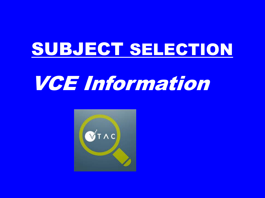## SUBJECT SELECTION

# VCE Information

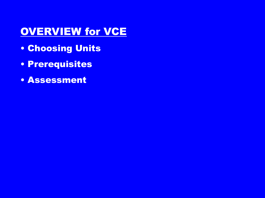## **OVERVIEW for VCE**

- Choosing Units
- Prerequisites
- Assessment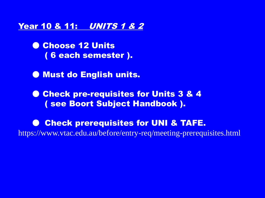#### Year 10 & 11: UNITS 1 & 2

**O Choose 12 Units** ( 6 each semester ).

● Must do English units.

● Check pre-requisites for Units 3 & 4 ( see Boort Subject Handbook ).

● Check prerequisites for UNI & TAFE. https://www.vtac.edu.au/before/entry-req/meeting-prerequisites.html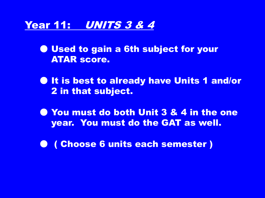#### Year 11: UNITS 3 & 4

● Used to gain a 6th subject for your ATAR score.

- It is best to already have Units 1 and/or 2 in that subject.
- You must do both Unit 3 & 4 in the one year. You must do the GAT as well.
- ( Choose 6 units each semester )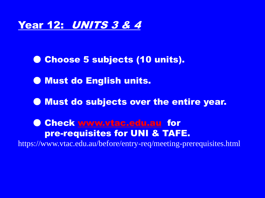### Year 12: UNITS 3 & 4

● Choose 5 subjects (10 units).

● Must do English units.

● Must do subjects over the entire year.

● Check [www.vtac.edu.au](http://www.vtac.edu.au) for pre-requisites for UNI & TAFE. https://www.vtac.edu.au/before/entry-req/meeting-prerequisites.html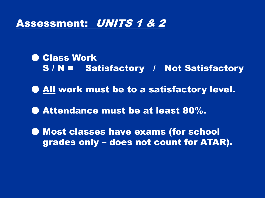### Assessment: UNITS 1 & 2

● Class Work S / N = Satisfactory / Not Satisfactory ● All work must be to a satisfactory level. ● Attendance must be at least 80%. ● Most classes have exams (for school grades only – does not count for ATAR).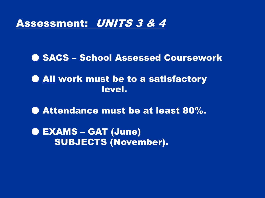#### Assessment: UNITS 3 & 4

**O SACS - School Assessed Coursework** 

● All work must be to a satisfactory level.

● Attendance must be at least 80%.

● EXAMS – GAT (June) SUBJECTS (November).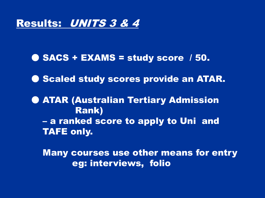#### Results: UNITS 3 & 4

● SACS + EXAMS = study score / 50.

● Scaled study scores provide an ATAR.

**O ATAR (Australian Tertiary Admission** Rank) – a ranked score to apply to Uni and TAFE only.

Many courses use other means for entry eg: interviews, folio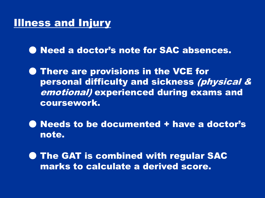### **Illness and Injury**

● Need a doctor's note for SAC absences.

**• There are provisions in the VCE for** personal difficulty and sickness (physical & emotional) experienced during exams and coursework.

● Needs to be documented + have a doctor's note.

**• The GAT is combined with regular SAC** marks to calculate a derived score.